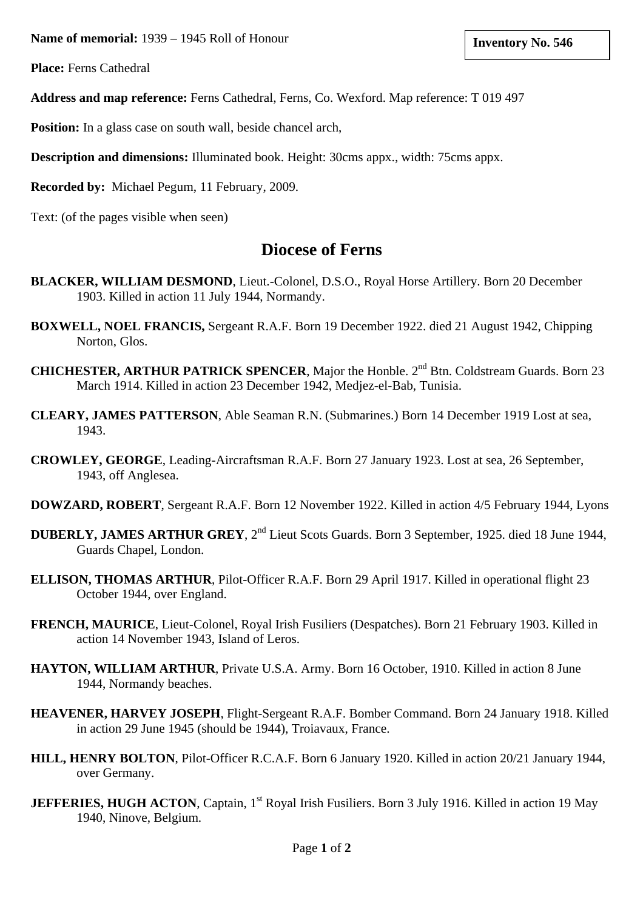**Name of memorial: Inventory No. 546** 1939 – 1945 Roll of Honour

**Place:** Ferns Cathedral

**Address and map reference:** Ferns Cathedral, Ferns, Co. Wexford. Map reference: T 019 497

**Position:** In a glass case on south wall, beside chancel arch,

**Description and dimensions:** Illuminated book. Height: 30cms appx., width: 75cms appx.

**Recorded by:** Michael Pegum, 11 February, 2009.

Text: (of the pages visible when seen)

## **Diocese of Ferns**

- **BLACKER, WILLIAM DESMOND**, Lieut.-Colonel, D.S.O., Royal Horse Artillery. Born 20 December 1903. Killed in action 11 July 1944, Normandy.
- **BOXWELL, NOEL FRANCIS,** Sergeant R.A.F. Born 19 December 1922. died 21 August 1942, Chipping Norton, Glos.
- **CHICHESTER, ARTHUR PATRICK SPENCER**, Major the Honble. 2<sup>nd</sup> Btn. Coldstream Guards. Born 23 March 1914. Killed in action 23 December 1942, Medjez-el-Bab, Tunisia.
- **CLEARY, JAMES PATTERSON**, Able Seaman R.N. (Submarines.) Born 14 December 1919 Lost at sea, 1943.
- **CROWLEY, GEORGE**, Leading-Aircraftsman R.A.F. Born 27 January 1923. Lost at sea, 26 September, 1943, off Anglesea.
- **DOWZARD, ROBERT**, Sergeant R.A.F. Born 12 November 1922. Killed in action 4/5 February 1944, Lyons
- **DUBERLY, JAMES ARTHUR GREY**, 2nd Lieut Scots Guards. Born 3 September, 1925. died 18 June 1944, Guards Chapel, London.
- **ELLISON, THOMAS ARTHUR**, Pilot-Officer R.A.F. Born 29 April 1917. Killed in operational flight 23 October 1944, over England.
- **FRENCH, MAURICE**, Lieut-Colonel, Royal Irish Fusiliers (Despatches). Born 21 February 1903. Killed in action 14 November 1943, Island of Leros.
- **HAYTON, WILLIAM ARTHUR**, Private U.S.A. Army. Born 16 October, 1910. Killed in action 8 June 1944, Normandy beaches.
- **HEAVENER, HARVEY JOSEPH**, Flight-Sergeant R.A.F. Bomber Command. Born 24 January 1918. Killed in action 29 June 1945 (should be 1944), Troiavaux, France.
- **HILL, HENRY BOLTON**, Pilot-Officer R.C.A.F. Born 6 January 1920. Killed in action 20/21 January 1944, over Germany.
- **JEFFERIES, HUGH ACTON**, Captain, 1<sup>st</sup> Royal Irish Fusiliers. Born 3 July 1916. Killed in action 19 May 1940, Ninove, Belgium.